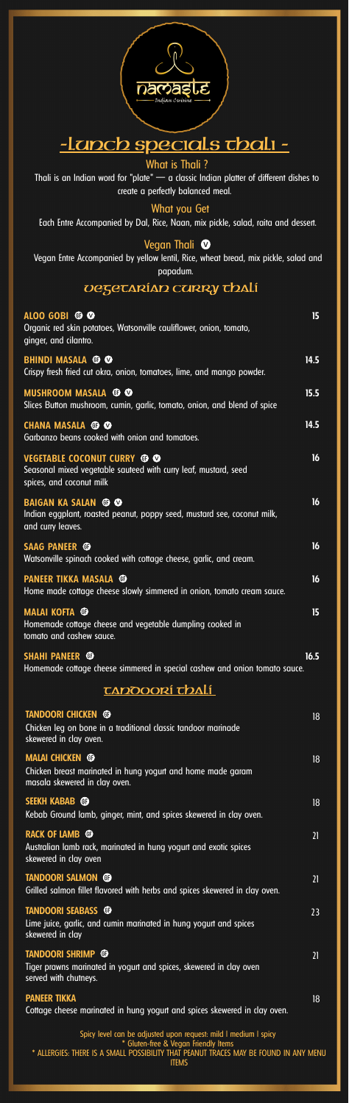## -lunch specials Thali -

兆

**nacias** 

What is Thali ?<br>Thali is an Indian word for "plate" — a classic Inc  $-$  a classic Indian platter of different dishes to create a perfectly balanced meal.

What you Get

Each Entre Accompanied by Dal, Rice, Naan, mix pickle, salad, raita and dessert.

Vegan Thali

Vegan Entre Accompanied by yellow lentil, Rice, wheat bread, mix pickle, salad and papadum.

## UEGETARIAN CURRY Thali

| ALOO GOBI © ©<br>Organic red skin potatoes, Watsonville cauliflower, onion, tomato,<br>ginger, and cilantro.                      | 15   |
|-----------------------------------------------------------------------------------------------------------------------------------|------|
| <b>BHINDI MASALA ® ©</b><br>Crispy fresh fried cut okra, onion, tomatoes, lime, and mango powder.                                 | 14.5 |
| MUSHROOM MASALA <b>O O</b><br>Slices Button mushroom, cumin, garlic, tomato, onion, and blend of spice                            | 15.5 |
| <b>CHANA MASALA ® ©</b><br>Garbanzo beans cooked with onion and tomatoes.                                                         | 14.5 |
| <b>VEGETABLE COCONUT CURRY ® ®</b><br>Seasonal mixed vegetable sauteed with curry leaf, mustard, seed<br>spices, and coconut milk | 16   |
| <b>BAIGAN KA SALAN ® ©</b><br>Indian eggplant, roasted peanut, poppy seed, mustard see, coconut milk,<br>and curry leaves.        | 16   |
| <b>SAAG PANEER ®</b><br>Watsonville spinach cooked with cottage cheese, garlic, and cream.                                        | 16   |
| <b>PANEER TIKKA MASALA ®</b><br>Home made cottage cheese slowly simmered in onion, tomato cream sauce.                            | 16   |
| <b>MALAI KOFTA ®</b><br>Homemade cottage cheese and vegetable dumpling cooked in<br>tomato and cashew sauce.                      | 15   |
| SHAHI PANEER <sup>®</sup><br>Homemade cottage cheese simmered in special cashew and onion tomato sauce.                           | 16.5 |
| tandoorí thalí                                                                                                                    |      |
| <b>TANDOORI CHICKEN OD</b><br>Chicken leg on bone in a traditional classic tandoor marinade<br>skewered in clay oven.             | 18   |
| <b>MALAI CHICKEN ®</b><br>Chicken breast marinated in hung yogurt and home made garam<br>masala skewered in clay oven.            | 18   |
| SEEKH KABAB <b>CD</b><br>Kebab Ground lamb, ginger, mint, and spices skewered in clay oven.                                       | 18   |
| <b>RACK OF LAMB @</b>                                                                                                             | 21   |
| Australian lamb rack, marinated in hung yogurt and exotic spices<br>skewered in clay oven                                         |      |
| <b>TANDOORI SALMON @</b><br>Grilled salmon fillet flavored with herbs and spices skewered in clay oven.                           | 21   |
| <b>TANDOORI SEABASS ®</b><br>Lime juice, garlic, and cumin marinated in hung yogurt and spices<br>skewered in clay                | 23   |
| <b>TANDOORI SHRIMP ®</b><br>Tiger prawns marinated in yogurt and spices, skewered in clay oven<br>served with chutneys.           | 21   |

Spicy level can be adjusted upon request: mild | medium | spicy \* Gluten-free & Vegan Friendly Items

\* ALLERGIES: THERE IS A SMALL POSSIBILITY THAT PEANUT TRACES MAY BE FOUND IN ANY MENU